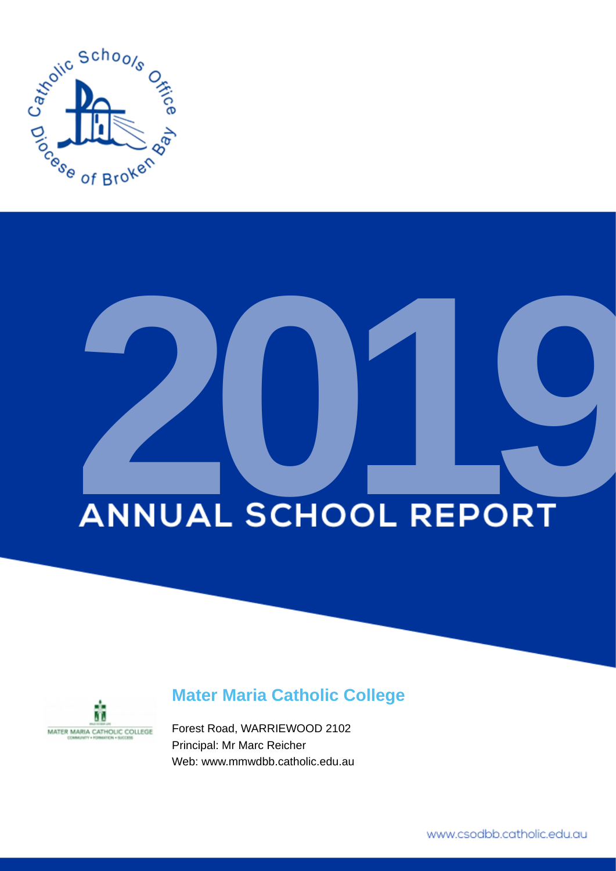

# **ANNUAL SCHOOL REPORT**



# **Mater Maria Catholic College**

Forest Road, WARRIEWOOD 2102 Principal: Mr Marc Reicher Web: www.mmwdbb.catholic.edu.au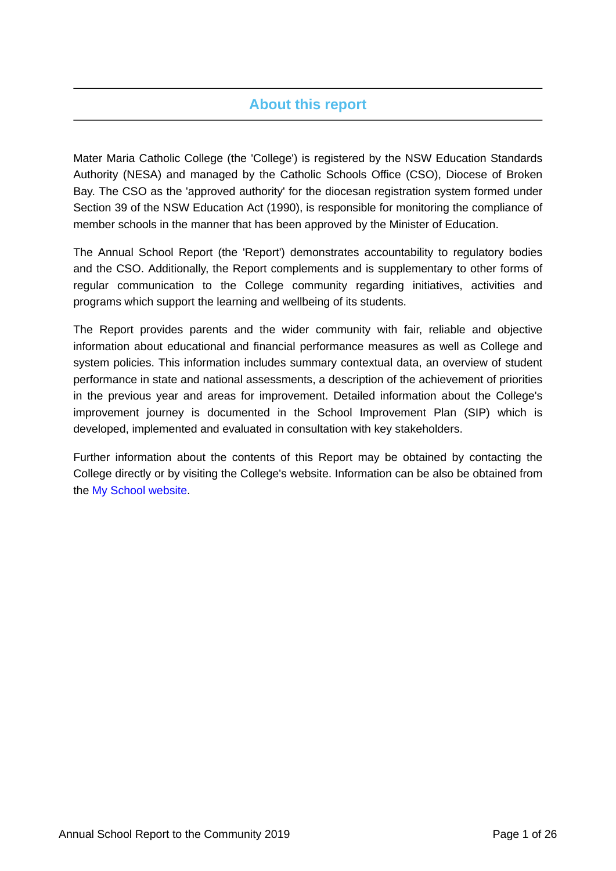# **About this report**

Mater Maria Catholic College (the 'College') is registered by the NSW Education Standards Authority (NESA) and managed by the Catholic Schools Office (CSO), Diocese of Broken Bay. The CSO as the 'approved authority' for the diocesan registration system formed under Section 39 of the NSW Education Act (1990), is responsible for monitoring the compliance of member schools in the manner that has been approved by the Minister of Education.

The Annual School Report (the 'Report') demonstrates accountability to regulatory bodies and the CSO. Additionally, the Report complements and is supplementary to other forms of regular communication to the College community regarding initiatives, activities and programs which support the learning and wellbeing of its students.

The Report provides parents and the wider community with fair, reliable and objective information about educational and financial performance measures as well as College and system policies. This information includes summary contextual data, an overview of student performance in state and national assessments, a description of the achievement of priorities in the previous year and areas for improvement. Detailed information about the College's improvement journey is documented in the School Improvement Plan (SIP) which is developed, implemented and evaluated in consultation with key stakeholders.

Further information about the contents of this Report may be obtained by contacting the College directly or by visiting the College's website. Information can be also be obtained from the [My School website.](https://www.myschool.edu.au/)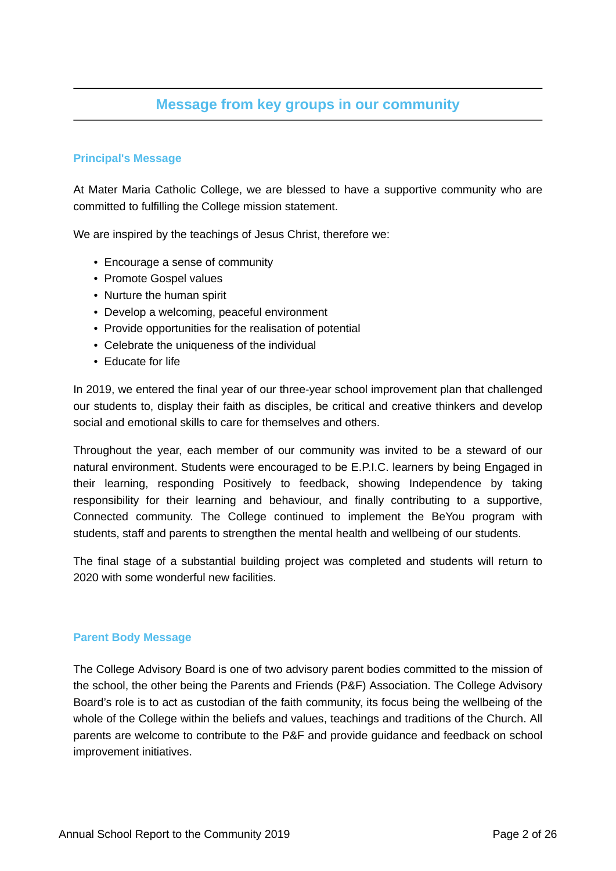# **Message from key groups in our community**

# **Principal's Message**

At Mater Maria Catholic College, we are blessed to have a supportive community who are committed to fulfilling the College mission statement.

We are inspired by the teachings of Jesus Christ, therefore we:

- Encourage a sense of community
- Promote Gospel values
- Nurture the human spirit
- Develop a welcoming, peaceful environment
- Provide opportunities for the realisation of potential
- Celebrate the uniqueness of the individual
- Educate for life

In 2019, we entered the final year of our three-year school improvement plan that challenged our students to, display their faith as disciples, be critical and creative thinkers and develop social and emotional skills to care for themselves and others.

Throughout the year, each member of our community was invited to be a steward of our natural environment. Students were encouraged to be E.P.I.C. learners by being Engaged in their learning, responding Positively to feedback, showing Independence by taking responsibility for their learning and behaviour, and finally contributing to a supportive, Connected community. The College continued to implement the BeYou program with students, staff and parents to strengthen the mental health and wellbeing of our students.

The final stage of a substantial building project was completed and students will return to 2020 with some wonderful new facilities.

### **Parent Body Message**

The College Advisory Board is one of two advisory parent bodies committed to the mission of the school, the other being the Parents and Friends (P&F) Association. The College Advisory Board's role is to act as custodian of the faith community, its focus being the wellbeing of the whole of the College within the beliefs and values, teachings and traditions of the Church. All parents are welcome to contribute to the P&F and provide guidance and feedback on school improvement initiatives.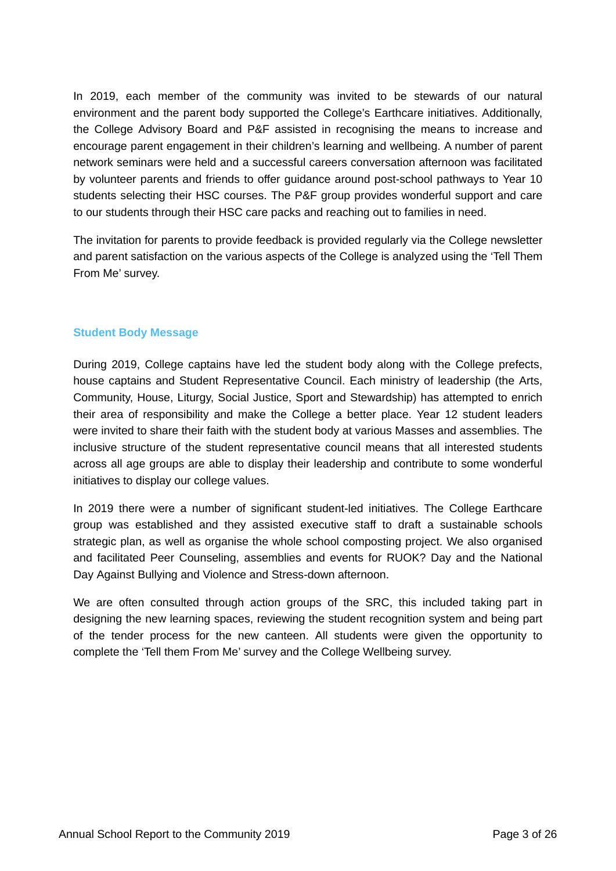In 2019, each member of the community was invited to be stewards of our natural environment and the parent body supported the College's Earthcare initiatives. Additionally, the College Advisory Board and P&F assisted in recognising the means to increase and encourage parent engagement in their children's learning and wellbeing. A number of parent network seminars were held and a successful careers conversation afternoon was facilitated by volunteer parents and friends to offer guidance around post-school pathways to Year 10 students selecting their HSC courses. The P&F group provides wonderful support and care to our students through their HSC care packs and reaching out to families in need.

The invitation for parents to provide feedback is provided regularly via the College newsletter and parent satisfaction on the various aspects of the College is analyzed using the 'Tell Them From Me' survey.

# **Student Body Message**

During 2019, College captains have led the student body along with the College prefects, house captains and Student Representative Council. Each ministry of leadership (the Arts, Community, House, Liturgy, Social Justice, Sport and Stewardship) has attempted to enrich their area of responsibility and make the College a better place. Year 12 student leaders were invited to share their faith with the student body at various Masses and assemblies. The inclusive structure of the student representative council means that all interested students across all age groups are able to display their leadership and contribute to some wonderful initiatives to display our college values.

In 2019 there were a number of significant student-led initiatives. The College Earthcare group was established and they assisted executive staff to draft a sustainable schools strategic plan, as well as organise the whole school composting project. We also organised and facilitated Peer Counseling, assemblies and events for RUOK? Day and the National Day Against Bullying and Violence and Stress-down afternoon.

We are often consulted through action groups of the SRC, this included taking part in designing the new learning spaces, reviewing the student recognition system and being part of the tender process for the new canteen. All students were given the opportunity to complete the 'Tell them From Me' survey and the College Wellbeing survey.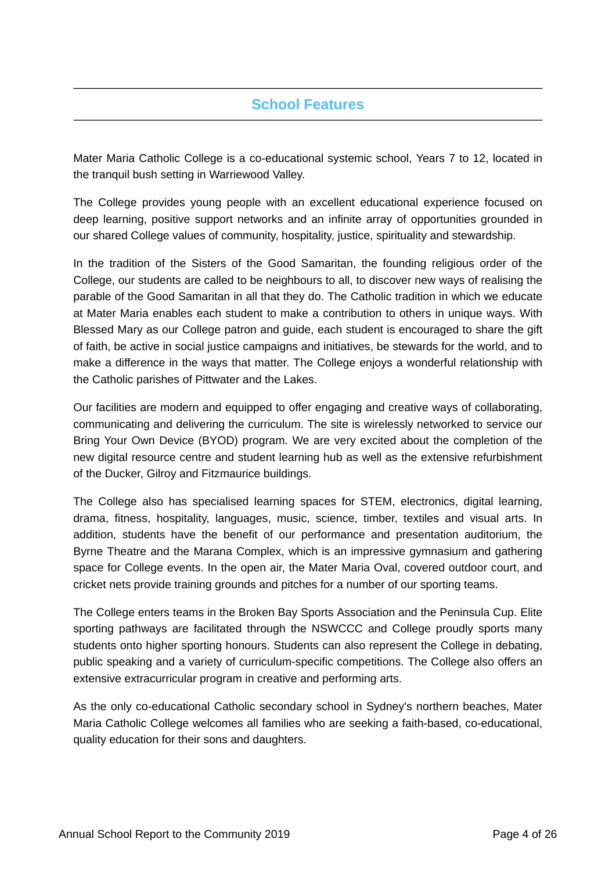# **School Features**

Mater Maria Catholic College is a co-educational systemic school, Years 7 to 12, located in the tranquil bush setting in Warriewood Valley.

The College provides young people with an excellent educational experience focused on deep learning, positive support networks and an infinite array of opportunities grounded in our shared College values of community, hospitality, justice, spirituality and stewardship.

In the tradition of the Sisters of the Good Samaritan, the founding religious order of the College, our students are called to be neighbours to all, to discover new ways of realising the parable of the Good Samaritan in all that they do. The Catholic tradition in which we educate at Mater Maria enables each student to make a contribution to others in unique ways. With Blessed Mary as our College patron and guide, each student is encouraged to share the gift of faith, be active in social justice campaigns and initiatives, be stewards for the world, and to make a difference in the ways that matter. The College enjoys a wonderful relationship with the Catholic parishes of Pittwater and the Lakes.

Our facilities are modern and equipped to offer engaging and creative ways of collaborating, communicating and delivering the curriculum. The site is wirelessly networked to service our Bring Your Own Device (BYOD) program. We are very excited about the completion of the new digital resource centre and student learning hub as well as the extensive refurbishment of the Ducker, Gilroy and Fitzmaurice buildings.

The College also has specialised learning spaces for STEM, electronics, digital learning, drama, fitness, hospitality, languages, music, science, timber, textiles and visual arts. In addition, students have the benefit of our performance and presentation auditorium, the Byrne Theatre and the Marana Complex, which is an impressive gymnasium and gathering space for College events. In the open air, the Mater Maria Oval, covered outdoor court, and cricket nets provide training grounds and pitches for a number of our sporting teams.

The College enters teams in the Broken Bay Sports Association and the Peninsula Cup. Elite sporting pathways are facilitated through the NSWCCC and College proudly sports many students onto higher sporting honours. Students can also represent the College in debating, public speaking and a variety of curriculum-specific competitions. The College also offers an extensive extracurricular program in creative and performing arts.

As the only co-educational Catholic secondary school in Sydney's northern beaches, Mater Maria Catholic College welcomes all families who are seeking a faith-based, co-educational, quality education for their sons and daughters.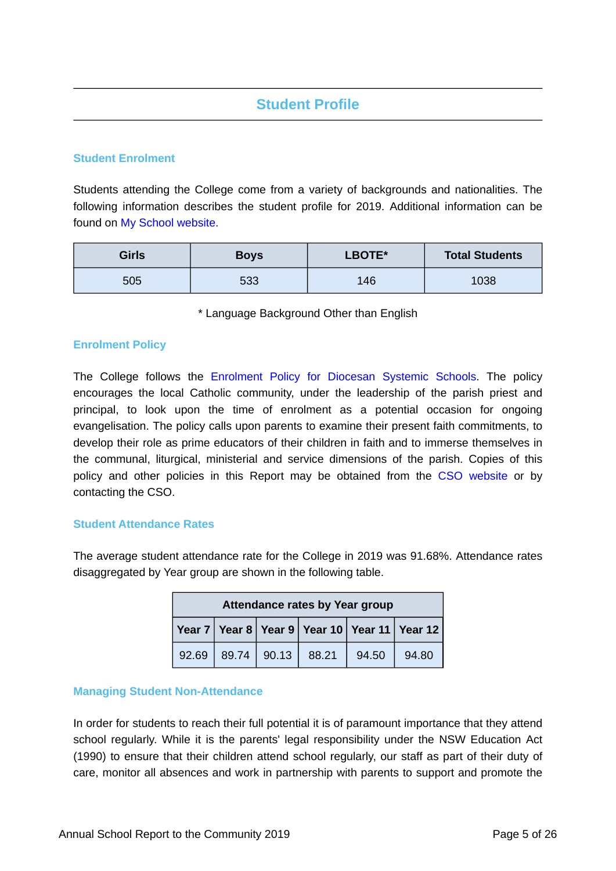# **Student Profile**

## **Student Enrolment**

Students attending the College come from a variety of backgrounds and nationalities. The following information describes the student profile for 2019. Additional information can be found on [My School website.](https://www.myschool.edu.au/)

| <b>Girls</b> | <b>Boys</b> | LBOTE* | <b>Total Students</b> |
|--------------|-------------|--------|-----------------------|
| 505          | 533         | 146    | 1038                  |

\* Language Background Other than English

### **Enrolment Policy**

The College follows the [Enrolment Policy for Diocesan Systemic Schools](https://www.csodbb.catholic.edu.au/about/Policies). The policy encourages the local Catholic community, under the leadership of the parish priest and principal, to look upon the time of enrolment as a potential occasion for ongoing evangelisation. The policy calls upon parents to examine their present faith commitments, to develop their role as prime educators of their children in faith and to immerse themselves in the communal, liturgical, ministerial and service dimensions of the parish. Copies of this policy and other policies in this Report may be obtained from the [CSO website](https://www.csodbb.catholic.edu.au/about/Policies) or by contacting the CSO.

### **Student Attendance Rates**

The average student attendance rate for the College in 2019 was 91.68%. Attendance rates disaggregated by Year group are shown in the following table.

| Attendance rates by Year group |  |             |       |       |                                              |
|--------------------------------|--|-------------|-------|-------|----------------------------------------------|
|                                |  |             |       |       | Year 7 Year 8 Year 9 Year 10 Year 11 Year 12 |
| 92.69                          |  | 89.74 90.13 | 88.21 | 94.50 | 94.80                                        |

### **Managing Student Non-Attendance**

In order for students to reach their full potential it is of paramount importance that they attend school regularly. While it is the parents' legal responsibility under the NSW Education Act (1990) to ensure that their children attend school regularly, our staff as part of their duty of care, monitor all absences and work in partnership with parents to support and promote the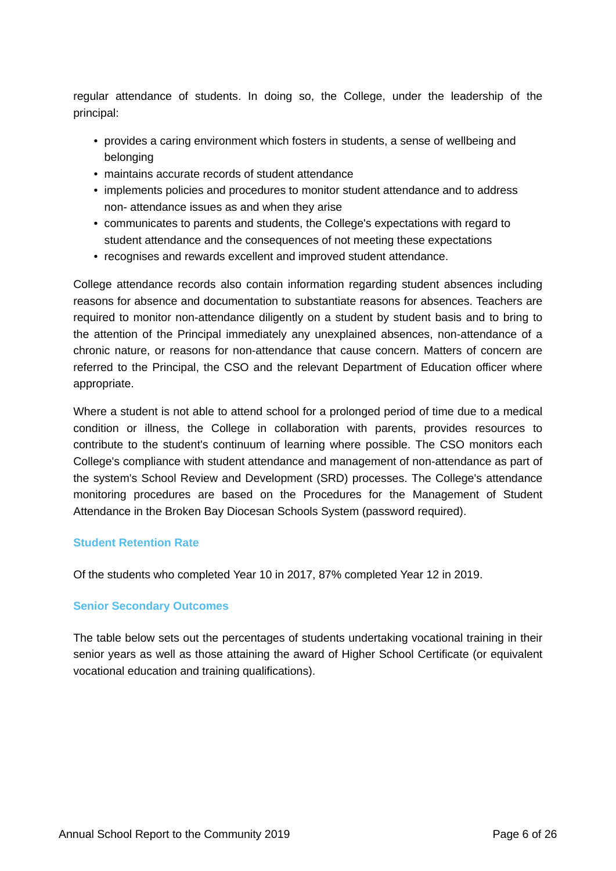regular attendance of students. In doing so, the College, under the leadership of the principal:

- provides a caring environment which fosters in students, a sense of wellbeing and belonging
- maintains accurate records of student attendance
- implements policies and procedures to monitor student attendance and to address non- attendance issues as and when they arise
- communicates to parents and students, the College's expectations with regard to student attendance and the consequences of not meeting these expectations
- recognises and rewards excellent and improved student attendance.

College attendance records also contain information regarding student absences including reasons for absence and documentation to substantiate reasons for absences. Teachers are required to monitor non-attendance diligently on a student by student basis and to bring to the attention of the Principal immediately any unexplained absences, non-attendance of a chronic nature, or reasons for non-attendance that cause concern. Matters of concern are referred to the Principal, the CSO and the relevant Department of Education officer where appropriate.

Where a student is not able to attend school for a prolonged period of time due to a medical condition or illness, the College in collaboration with parents, provides resources to contribute to the student's continuum of learning where possible. The CSO monitors each College's compliance with student attendance and management of non-attendance as part of the system's School Review and Development (SRD) processes. The College's attendance monitoring procedures are based on the Procedures for the Management of Student Attendance in the Broken Bay Diocesan Schools System (password required).

# **Student Retention Rate**

Of the students who completed Year 10 in 2017, 87% completed Year 12 in 2019.

# **Senior Secondary Outcomes**

The table below sets out the percentages of students undertaking vocational training in their senior years as well as those attaining the award of Higher School Certificate (or equivalent vocational education and training qualifications).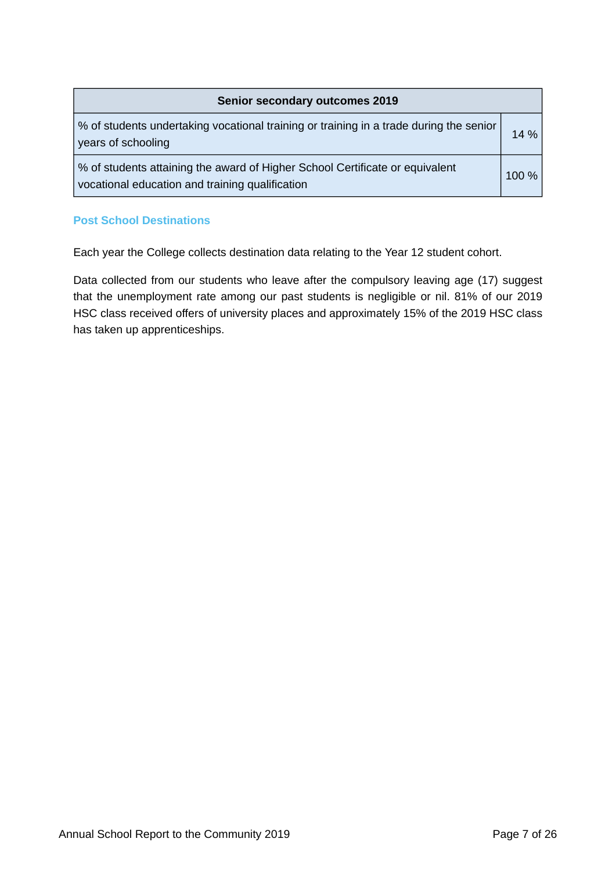| <b>Senior secondary outcomes 2019</b>                                                                                           |       |  |
|---------------------------------------------------------------------------------------------------------------------------------|-------|--|
| % of students undertaking vocational training or training in a trade during the senior<br>years of schooling                    | 14 %  |  |
| % of students attaining the award of Higher School Certificate or equivalent<br>vocational education and training qualification | 100 % |  |

# **Post School Destinations**

Each year the College collects destination data relating to the Year 12 student cohort.

Data collected from our students who leave after the compulsory leaving age (17) suggest that the unemployment rate among our past students is negligible or nil. 81% of our 2019 HSC class received offers of university places and approximately 15% of the 2019 HSC class has taken up apprenticeships.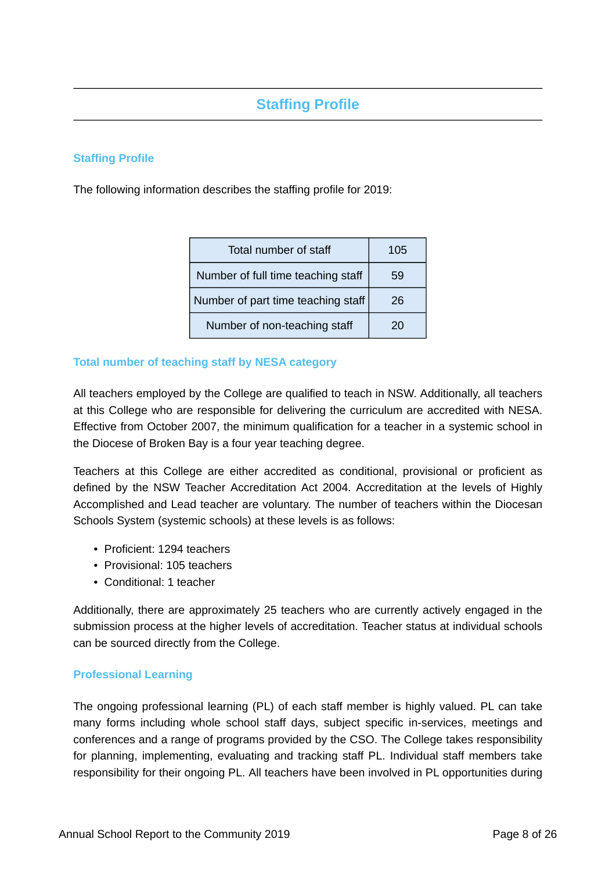# **Staffing Profile**

# **Staffing Profile**

The following information describes the staffing profile for 2019:

| Total number of staff              | 105 |
|------------------------------------|-----|
| Number of full time teaching staff | 59  |
| Number of part time teaching staff | 26  |
| Number of non-teaching staff       | 20  |

# **Total number of teaching staff by NESA category**

All teachers employed by the College are qualified to teach in NSW. Additionally, all teachers at this College who are responsible for delivering the curriculum are accredited with NESA. Effective from October 2007, the minimum qualification for a teacher in a systemic school in the Diocese of Broken Bay is a four year teaching degree.

Teachers at this College are either accredited as conditional, provisional or proficient as defined by the NSW Teacher Accreditation Act 2004. Accreditation at the levels of Highly Accomplished and Lead teacher are voluntary. The number of teachers within the Diocesan Schools System (systemic schools) at these levels is as follows:

- Proficient: 1294 teachers
- Provisional: 105 teachers
- Conditional: 1 teacher

Additionally, there are approximately 25 teachers who are currently actively engaged in the submission process at the higher levels of accreditation. Teacher status at individual schools can be sourced directly from the College.

### **Professional Learning**

The ongoing professional learning (PL) of each staff member is highly valued. PL can take many forms including whole school staff days, subject specific in-services, meetings and conferences and a range of programs provided by the CSO. The College takes responsibility for planning, implementing, evaluating and tracking staff PL. Individual staff members take responsibility for their ongoing PL. All teachers have been involved in PL opportunities during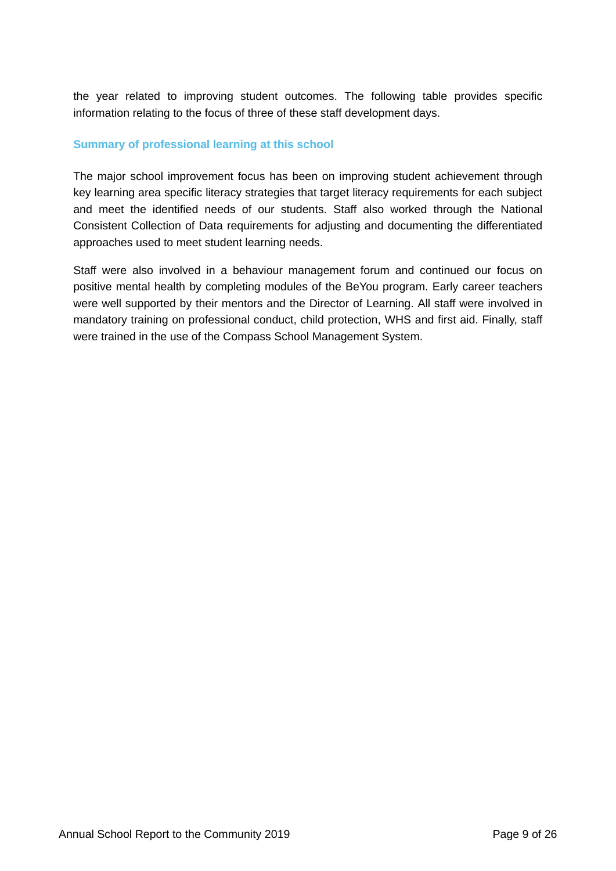the year related to improving student outcomes. The following table provides specific information relating to the focus of three of these staff development days.

# **Summary of professional learning at this school**

The major school improvement focus has been on improving student achievement through key learning area specific literacy strategies that target literacy requirements for each subject and meet the identified needs of our students. Staff also worked through the National Consistent Collection of Data requirements for adjusting and documenting the differentiated approaches used to meet student learning needs.

Staff were also involved in a behaviour management forum and continued our focus on positive mental health by completing modules of the BeYou program. Early career teachers were well supported by their mentors and the Director of Learning. All staff were involved in mandatory training on professional conduct, child protection, WHS and first aid. Finally, staff were trained in the use of the Compass School Management System.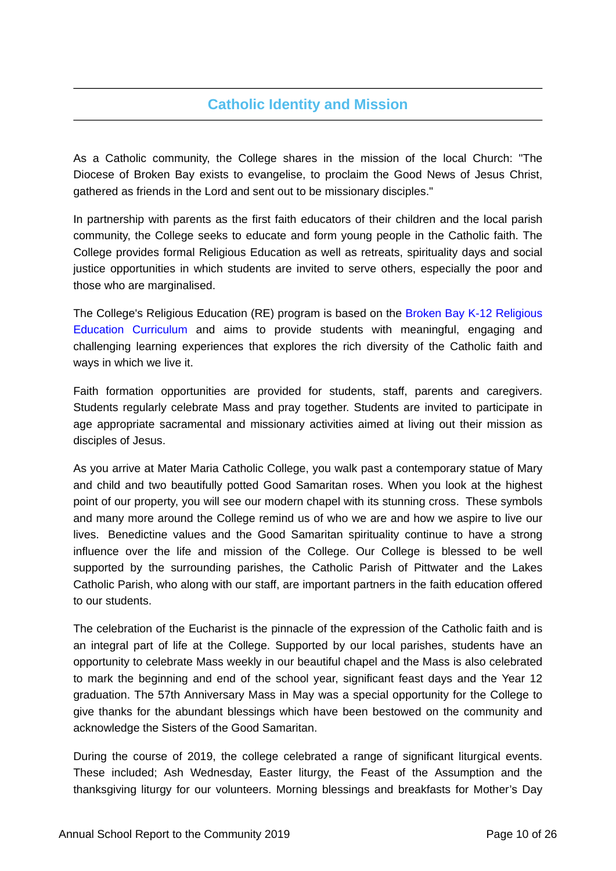# **Catholic Identity and Mission**

As a Catholic community, the College shares in the mission of the local Church: "The Diocese of Broken Bay exists to evangelise, to proclaim the Good News of Jesus Christ, gathered as friends in the Lord and sent out to be missionary disciples."

In partnership with parents as the first faith educators of their children and the local parish community, the College seeks to educate and form young people in the Catholic faith. The College provides formal Religious Education as well as retreats, spirituality days and social justice opportunities in which students are invited to serve others, especially the poor and those who are marginalised.

The College's Religious Education (RE) program is based on the [Broken Bay K-12 Religious](https://www.csodbb.catholic.edu.au/mission/Religious-Education) [Education Curriculum](https://www.csodbb.catholic.edu.au/mission/Religious-Education) and aims to provide students with meaningful, engaging and challenging learning experiences that explores the rich diversity of the Catholic faith and ways in which we live it.

Faith formation opportunities are provided for students, staff, parents and caregivers. Students regularly celebrate Mass and pray together. Students are invited to participate in age appropriate sacramental and missionary activities aimed at living out their mission as disciples of Jesus.

As you arrive at Mater Maria Catholic College, you walk past a contemporary statue of Mary and child and two beautifully potted Good Samaritan roses. When you look at the highest point of our property, you will see our modern chapel with its stunning cross. These symbols and many more around the College remind us of who we are and how we aspire to live our lives. Benedictine values and the Good Samaritan spirituality continue to have a strong influence over the life and mission of the College. Our College is blessed to be well supported by the surrounding parishes, the Catholic Parish of Pittwater and the Lakes Catholic Parish, who along with our staff, are important partners in the faith education offered to our students.

The celebration of the Eucharist is the pinnacle of the expression of the Catholic faith and is an integral part of life at the College. Supported by our local parishes, students have an opportunity to celebrate Mass weekly in our beautiful chapel and the Mass is also celebrated to mark the beginning and end of the school year, significant feast days and the Year 12 graduation. The 57th Anniversary Mass in May was a special opportunity for the College to give thanks for the abundant blessings which have been bestowed on the community and acknowledge the Sisters of the Good Samaritan.

During the course of 2019, the college celebrated a range of significant liturgical events. These included; Ash Wednesday, Easter liturgy, the Feast of the Assumption and the thanksgiving liturgy for our volunteers. Morning blessings and breakfasts for Mother's Day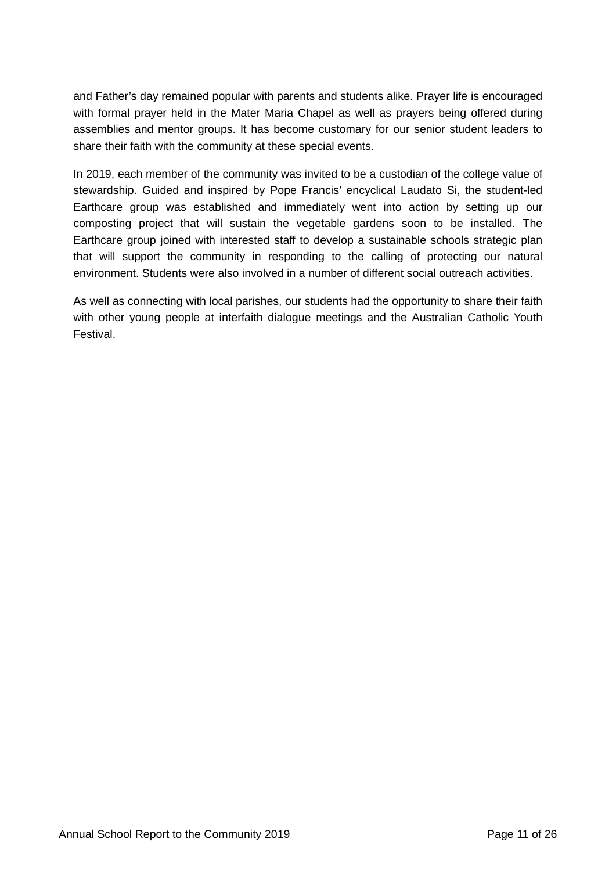and Father's day remained popular with parents and students alike. Prayer life is encouraged with formal prayer held in the Mater Maria Chapel as well as prayers being offered during assemblies and mentor groups. It has become customary for our senior student leaders to share their faith with the community at these special events.

In 2019, each member of the community was invited to be a custodian of the college value of stewardship. Guided and inspired by Pope Francis' encyclical Laudato Si, the student-led Earthcare group was established and immediately went into action by setting up our composting project that will sustain the vegetable gardens soon to be installed. The Earthcare group joined with interested staff to develop a sustainable schools strategic plan that will support the community in responding to the calling of protecting our natural environment. Students were also involved in a number of different social outreach activities.

As well as connecting with local parishes, our students had the opportunity to share their faith with other young people at interfaith dialogue meetings and the Australian Catholic Youth Festival.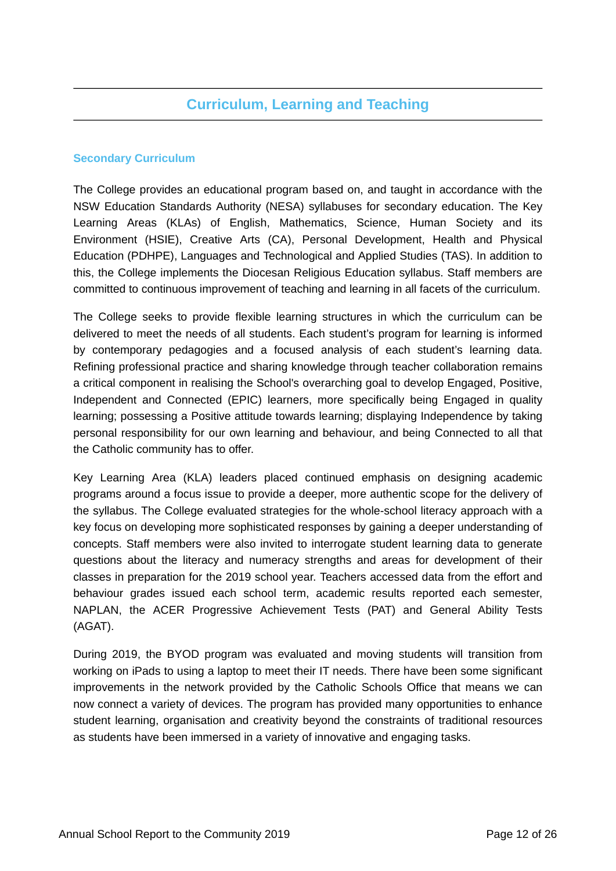# **Curriculum, Learning and Teaching**

# **Secondary Curriculum**

The College provides an educational program based on, and taught in accordance with the NSW Education Standards Authority (NESA) syllabuses for secondary education. The Key Learning Areas (KLAs) of English, Mathematics, Science, Human Society and its Environment (HSIE), Creative Arts (CA), Personal Development, Health and Physical Education (PDHPE), Languages and Technological and Applied Studies (TAS). In addition to this, the College implements the Diocesan Religious Education syllabus. Staff members are committed to continuous improvement of teaching and learning in all facets of the curriculum.

The College seeks to provide flexible learning structures in which the curriculum can be delivered to meet the needs of all students. Each student's program for learning is informed by contemporary pedagogies and a focused analysis of each student's learning data. Refining professional practice and sharing knowledge through teacher collaboration remains a critical component in realising the School's overarching goal to develop Engaged, Positive, Independent and Connected (EPIC) learners, more specifically being Engaged in quality learning; possessing a Positive attitude towards learning; displaying Independence by taking personal responsibility for our own learning and behaviour, and being Connected to all that the Catholic community has to offer.

Key Learning Area (KLA) leaders placed continued emphasis on designing academic programs around a focus issue to provide a deeper, more authentic scope for the delivery of the syllabus. The College evaluated strategies for the whole-school literacy approach with a key focus on developing more sophisticated responses by gaining a deeper understanding of concepts. Staff members were also invited to interrogate student learning data to generate questions about the literacy and numeracy strengths and areas for development of their classes in preparation for the 2019 school year. Teachers accessed data from the effort and behaviour grades issued each school term, academic results reported each semester, NAPLAN, the ACER Progressive Achievement Tests (PAT) and General Ability Tests (AGAT).

During 2019, the BYOD program was evaluated and moving students will transition from working on iPads to using a laptop to meet their IT needs. There have been some significant improvements in the network provided by the Catholic Schools Office that means we can now connect a variety of devices. The program has provided many opportunities to enhance student learning, organisation and creativity beyond the constraints of traditional resources as students have been immersed in a variety of innovative and engaging tasks.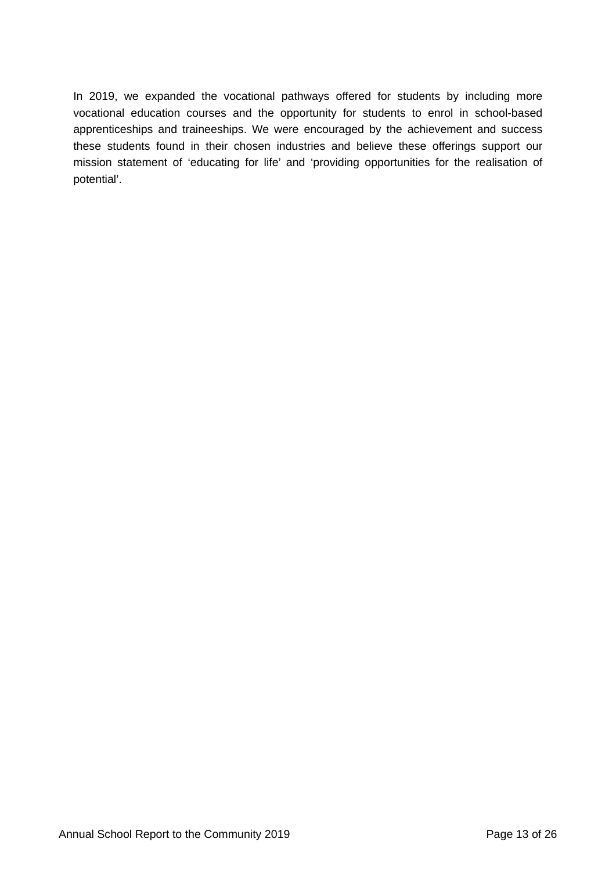In 2019, we expanded the vocational pathways offered for students by including more vocational education courses and the opportunity for students to enrol in school-based apprenticeships and traineeships. We were encouraged by the achievement and success these students found in their chosen industries and believe these offerings support our mission statement of 'educating for life' and 'providing opportunities for the realisation of potential'.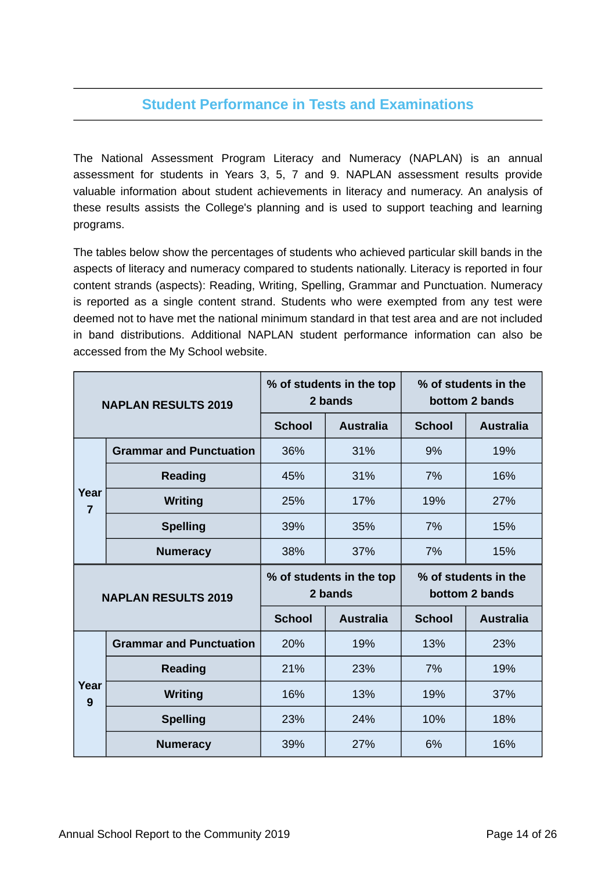# **Student Performance in Tests and Examinations**

The National Assessment Program Literacy and Numeracy (NAPLAN) is an annual assessment for students in Years 3, 5, 7 and 9. NAPLAN assessment results provide valuable information about student achievements in literacy and numeracy. An analysis of these results assists the College's planning and is used to support teaching and learning programs.

The tables below show the percentages of students who achieved particular skill bands in the aspects of literacy and numeracy compared to students nationally. Literacy is reported in four content strands (aspects): Reading, Writing, Spelling, Grammar and Punctuation. Numeracy is reported as a single content strand. Students who were exempted from any test were deemed not to have met the national minimum standard in that test area and are not included in band distributions. Additional NAPLAN student performance information can also be accessed from the My School website.

| <b>NAPLAN RESULTS 2019</b> |                                |               | % of students in the top<br>2 bands | % of students in the<br>bottom 2 bands |                                        |  |
|----------------------------|--------------------------------|---------------|-------------------------------------|----------------------------------------|----------------------------------------|--|
|                            |                                | <b>School</b> | <b>Australia</b>                    | <b>School</b>                          | <b>Australia</b>                       |  |
|                            | <b>Grammar and Punctuation</b> | 36%           | 31%                                 | 9%                                     | 19%                                    |  |
|                            | <b>Reading</b>                 | 45%           | 31%                                 | 7%                                     | 16%                                    |  |
| Year<br>$\overline{7}$     | <b>Writing</b>                 | 25%           | 17%                                 | 19%                                    | 27%                                    |  |
|                            | <b>Spelling</b>                | 39%           | 35%                                 | 7%                                     | 15%                                    |  |
|                            | <b>Numeracy</b>                | 38%           | 37%                                 | 7%                                     | 15%                                    |  |
| <b>NAPLAN RESULTS 2019</b> |                                |               |                                     |                                        |                                        |  |
|                            |                                |               | % of students in the top<br>2 bands |                                        | % of students in the<br>bottom 2 bands |  |
|                            |                                | <b>School</b> | <b>Australia</b>                    | <b>School</b>                          | <b>Australia</b>                       |  |
|                            | <b>Grammar and Punctuation</b> | 20%           | 19%                                 | 13%                                    | 23%                                    |  |
|                            | <b>Reading</b>                 | 21%           | 23%                                 | 7%                                     | 19%                                    |  |
| Year                       | <b>Writing</b>                 | 16%           | 13%                                 | 19%                                    | 37%                                    |  |
| 9                          | <b>Spelling</b>                | 23%           | 24%                                 | 10%                                    | 18%                                    |  |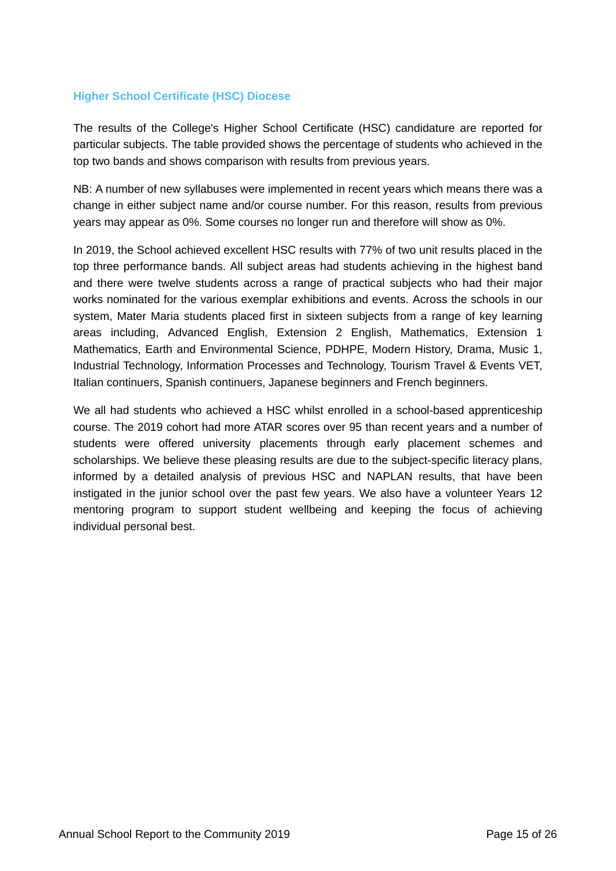### **Higher School Certificate (HSC) Diocese**

The results of the College's Higher School Certificate (HSC) candidature are reported for particular subjects. The table provided shows the percentage of students who achieved in the top two bands and shows comparison with results from previous years.

NB: A number of new syllabuses were implemented in recent years which means there was a change in either subject name and/or course number. For this reason, results from previous years may appear as 0%. Some courses no longer run and therefore will show as 0%.

In 2019, the School achieved excellent HSC results with 77% of two unit results placed in the top three performance bands. All subject areas had students achieving in the highest band and there were twelve students across a range of practical subjects who had their major works nominated for the various exemplar exhibitions and events. Across the schools in our system, Mater Maria students placed first in sixteen subjects from a range of key learning areas including, Advanced English, Extension 2 English, Mathematics, Extension 1 Mathematics, Earth and Environmental Science, PDHPE, Modern History, Drama, Music 1, Industrial Technology, Information Processes and Technology, Tourism Travel & Events VET, Italian continuers, Spanish continuers, Japanese beginners and French beginners.

We all had students who achieved a HSC whilst enrolled in a school-based apprenticeship course. The 2019 cohort had more ATAR scores over 95 than recent years and a number of students were offered university placements through early placement schemes and scholarships. We believe these pleasing results are due to the subject-specific literacy plans, informed by a detailed analysis of previous HSC and NAPLAN results, that have been instigated in the junior school over the past few years. We also have a volunteer Years 12 mentoring program to support student wellbeing and keeping the focus of achieving individual personal best.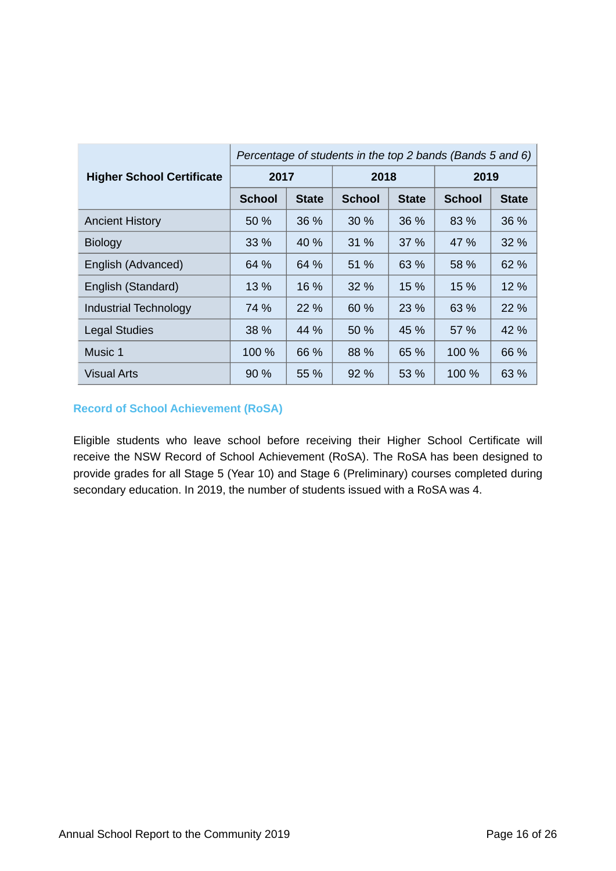|                                  | Percentage of students in the top 2 bands (Bands 5 and 6) |              |               |              |               |              |
|----------------------------------|-----------------------------------------------------------|--------------|---------------|--------------|---------------|--------------|
| <b>Higher School Certificate</b> | 2017                                                      |              | 2018          |              | 2019          |              |
|                                  | <b>School</b>                                             | <b>State</b> | <b>School</b> | <b>State</b> | <b>School</b> | <b>State</b> |
| <b>Ancient History</b>           | 50 %                                                      | 36 %         | 30 %          | 36 %         | 83 %          | 36 %         |
| <b>Biology</b>                   | $33\%$                                                    | 40 %         | 31 %          | $37\%$       | 47 %          | $32\%$       |
| English (Advanced)               | 64 %                                                      | 64 %         | 51 %          | 63 %         | 58 %          | 62 %         |
| English (Standard)               | 13 %                                                      | 16 %         | 32 %          | 15 %         | 15 %          | 12 %         |
| <b>Industrial Technology</b>     | 74 %                                                      | 22 %         | 60%           | 23 %         | 63 %          | 22 %         |
| <b>Legal Studies</b>             | 38 %                                                      | 44 %         | 50 %          | 45 %         | 57 %          | 42 %         |
| Music 1                          | 100 %                                                     | 66 %         | 88 %          | 65 %         | 100 %         | 66 %         |
| <b>Visual Arts</b>               | $90\%$                                                    | 55 %         | 92 %          | 53 %         | 100 %         | 63 %         |

# **Record of School Achievement (RoSA)**

Eligible students who leave school before receiving their Higher School Certificate will receive the NSW Record of School Achievement (RoSA). The RoSA has been designed to provide grades for all Stage 5 (Year 10) and Stage 6 (Preliminary) courses completed during secondary education. In 2019, the number of students issued with a RoSA was 4.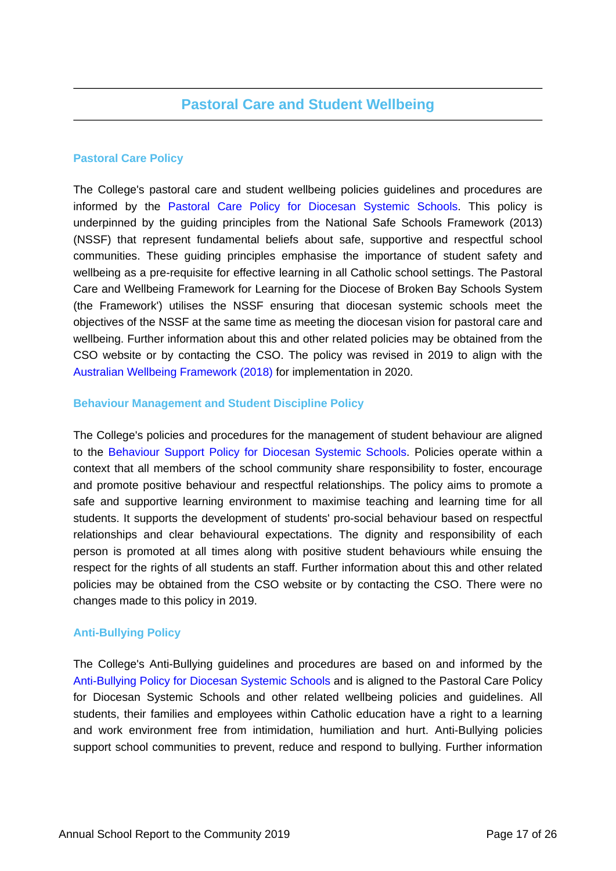# **Pastoral Care Policy**

The College's pastoral care and student wellbeing policies guidelines and procedures are informed by the [Pastoral Care Policy for Diocesan Systemic Schools.](https://www.csodbb.catholic.edu.au/about/Policies) This policy is underpinned by the guiding principles from the National Safe Schools Framework (2013) (NSSF) that represent fundamental beliefs about safe, supportive and respectful school communities. These guiding principles emphasise the importance of student safety and wellbeing as a pre-requisite for effective learning in all Catholic school settings. The Pastoral Care and Wellbeing Framework for Learning for the Diocese of Broken Bay Schools System (the Framework') utilises the NSSF ensuring that diocesan systemic schools meet the objectives of the NSSF at the same time as meeting the diocesan vision for pastoral care and wellbeing. Further information about this and other related policies may be obtained from the CSO website or by contacting the CSO. The policy was revised in 2019 to align with the [Australian Wellbeing Framework \(2018\)](https://studentwellbeinghub.edu.au/educators/framework/) for implementation in 2020.

# **Behaviour Management and Student Discipline Policy**

The College's policies and procedures for the management of student behaviour are aligned to the [Behaviour Support Policy for Diocesan Systemic Schools.](https://www.csodbb.catholic.edu.au/about/Policies) Policies operate within a context that all members of the school community share responsibility to foster, encourage and promote positive behaviour and respectful relationships. The policy aims to promote a safe and supportive learning environment to maximise teaching and learning time for all students. It supports the development of students' pro-social behaviour based on respectful relationships and clear behavioural expectations. The dignity and responsibility of each person is promoted at all times along with positive student behaviours while ensuing the respect for the rights of all students an staff. Further information about this and other related policies may be obtained from the CSO website or by contacting the CSO. There were no changes made to this policy in 2019.

# **Anti-Bullying Policy**

The College's Anti-Bullying guidelines and procedures are based on and informed by the [Anti-Bullying Policy for Diocesan Systemic Schools](https://www.csodbb.catholic.edu.au/about/Policies) and is aligned to the Pastoral Care Policy for Diocesan Systemic Schools and other related wellbeing policies and guidelines. All students, their families and employees within Catholic education have a right to a learning and work environment free from intimidation, humiliation and hurt. Anti-Bullying policies support school communities to prevent, reduce and respond to bullying. Further information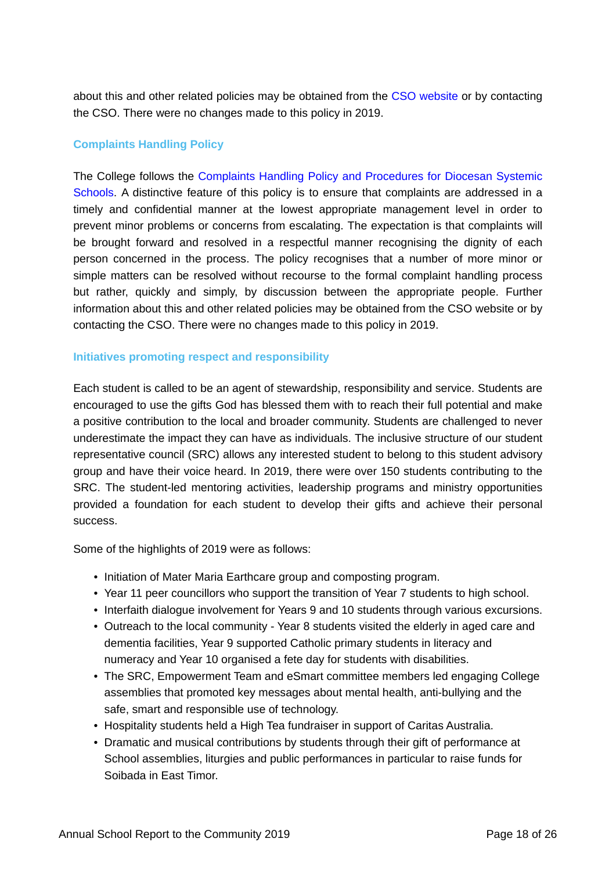about this and other related policies may be obtained from the [CSO website](https://www.csodbb.catholic.edu.au/about/Overview) or by contacting the CSO. There were no changes made to this policy in 2019.

# **Complaints Handling Policy**

The College follows the [Complaints Handling Policy and Procedures for Diocesan Systemic](https://www.csodbb.catholic.edu.au/about/Policies) [Schools.](https://www.csodbb.catholic.edu.au/about/Policies) A distinctive feature of this policy is to ensure that complaints are addressed in a timely and confidential manner at the lowest appropriate management level in order to prevent minor problems or concerns from escalating. The expectation is that complaints will be brought forward and resolved in a respectful manner recognising the dignity of each person concerned in the process. The policy recognises that a number of more minor or simple matters can be resolved without recourse to the formal complaint handling process but rather, quickly and simply, by discussion between the appropriate people. Further information about this and other related policies may be obtained from the CSO website or by contacting the CSO. There were no changes made to this policy in 2019.

### **Initiatives promoting respect and responsibility**

Each student is called to be an agent of stewardship, responsibility and service. Students are encouraged to use the gifts God has blessed them with to reach their full potential and make a positive contribution to the local and broader community. Students are challenged to never underestimate the impact they can have as individuals. The inclusive structure of our student representative council (SRC) allows any interested student to belong to this student advisory group and have their voice heard. In 2019, there were over 150 students contributing to the SRC. The student-led mentoring activities, leadership programs and ministry opportunities provided a foundation for each student to develop their gifts and achieve their personal success.

Some of the highlights of 2019 were as follows:

- Initiation of Mater Maria Earthcare group and composting program.
- Year 11 peer councillors who support the transition of Year 7 students to high school.
- Interfaith dialogue involvement for Years 9 and 10 students through various excursions.
- Outreach to the local community Year 8 students visited the elderly in aged care and dementia facilities, Year 9 supported Catholic primary students in literacy and numeracy and Year 10 organised a fete day for students with disabilities.
- The SRC, Empowerment Team and eSmart committee members led engaging College assemblies that promoted key messages about mental health, anti-bullying and the safe, smart and responsible use of technology.
- Hospitality students held a High Tea fundraiser in support of Caritas Australia.
- Dramatic and musical contributions by students through their gift of performance at School assemblies, liturgies and public performances in particular to raise funds for Soibada in East Timor.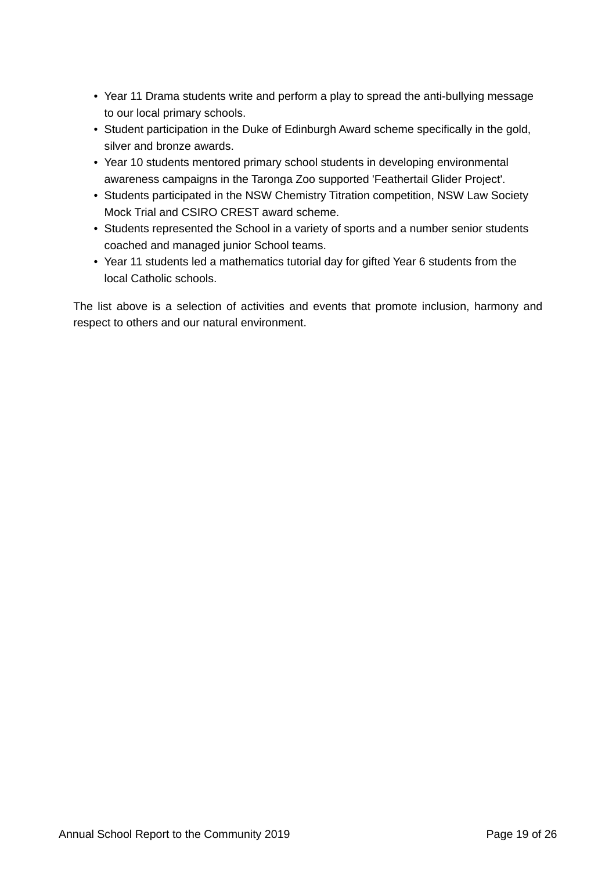- Year 11 Drama students write and perform a play to spread the anti-bullying message to our local primary schools.
- Student participation in the Duke of Edinburgh Award scheme specifically in the gold, silver and bronze awards.
- Year 10 students mentored primary school students in developing environmental awareness campaigns in the Taronga Zoo supported 'Feathertail Glider Project'.
- Students participated in the NSW Chemistry Titration competition, NSW Law Society Mock Trial and CSIRO CREST award scheme.
- Students represented the School in a variety of sports and a number senior students coached and managed junior School teams.
- Year 11 students led a mathematics tutorial day for gifted Year 6 students from the local Catholic schools.

The list above is a selection of activities and events that promote inclusion, harmony and respect to others and our natural environment.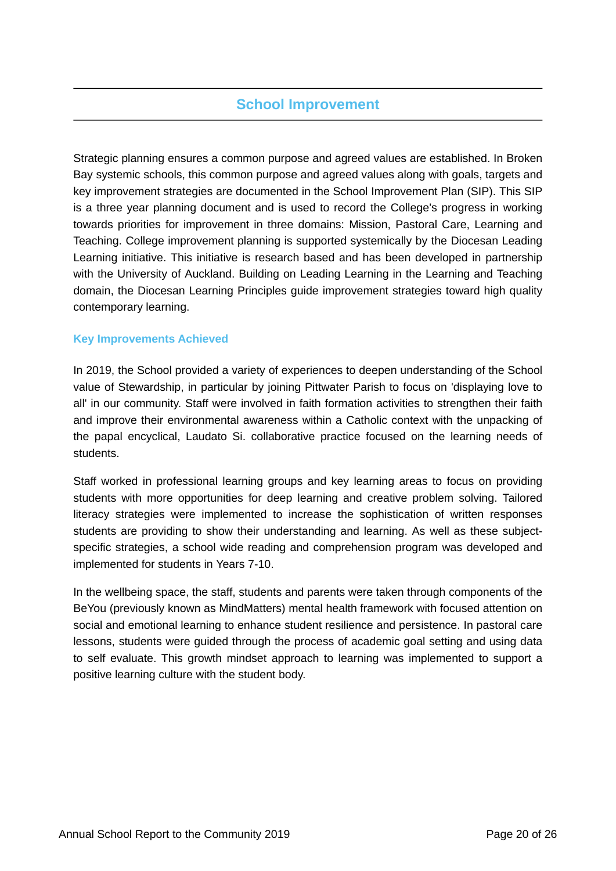# **School Improvement**

Strategic planning ensures a common purpose and agreed values are established. In Broken Bay systemic schools, this common purpose and agreed values along with goals, targets and key improvement strategies are documented in the School Improvement Plan (SIP). This SIP is a three year planning document and is used to record the College's progress in working towards priorities for improvement in three domains: Mission, Pastoral Care, Learning and Teaching. College improvement planning is supported systemically by the Diocesan Leading Learning initiative. This initiative is research based and has been developed in partnership with the University of Auckland. Building on Leading Learning in the Learning and Teaching domain, the Diocesan Learning Principles guide improvement strategies toward high quality contemporary learning.

# **Key Improvements Achieved**

In 2019, the School provided a variety of experiences to deepen understanding of the School value of Stewardship, in particular by joining Pittwater Parish to focus on 'displaying love to all' in our community. Staff were involved in faith formation activities to strengthen their faith and improve their environmental awareness within a Catholic context with the unpacking of the papal encyclical, Laudato Si. collaborative practice focused on the learning needs of students.

Staff worked in professional learning groups and key learning areas to focus on providing students with more opportunities for deep learning and creative problem solving. Tailored literacy strategies were implemented to increase the sophistication of written responses students are providing to show their understanding and learning. As well as these subjectspecific strategies, a school wide reading and comprehension program was developed and implemented for students in Years 7-10.

In the wellbeing space, the staff, students and parents were taken through components of the BeYou (previously known as MindMatters) mental health framework with focused attention on social and emotional learning to enhance student resilience and persistence. In pastoral care lessons, students were guided through the process of academic goal setting and using data to self evaluate. This growth mindset approach to learning was implemented to support a positive learning culture with the student body.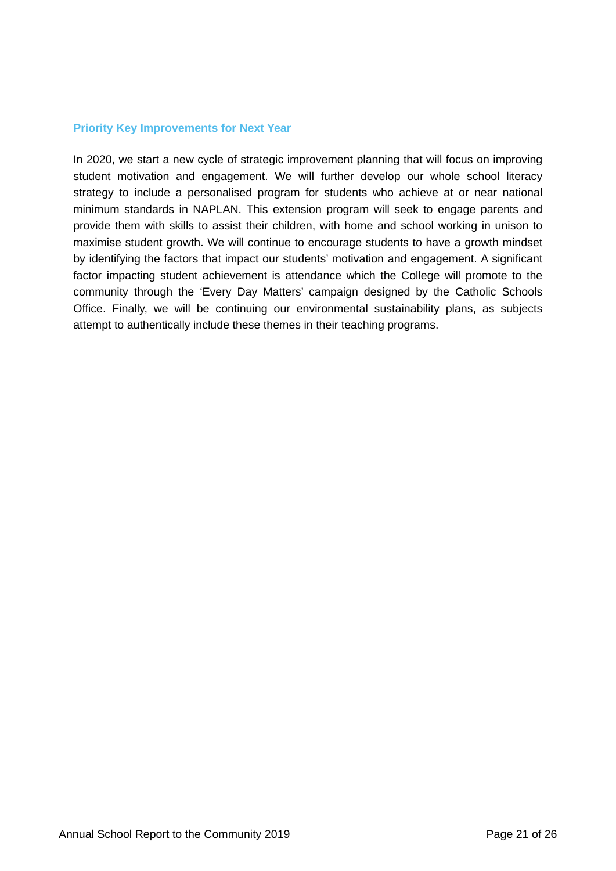### **Priority Key Improvements for Next Year**

In 2020, we start a new cycle of strategic improvement planning that will focus on improving student motivation and engagement. We will further develop our whole school literacy strategy to include a personalised program for students who achieve at or near national minimum standards in NAPLAN. This extension program will seek to engage parents and provide them with skills to assist their children, with home and school working in unison to maximise student growth. We will continue to encourage students to have a growth mindset by identifying the factors that impact our students' motivation and engagement. A significant factor impacting student achievement is attendance which the College will promote to the community through the 'Every Day Matters' campaign designed by the Catholic Schools Office. Finally, we will be continuing our environmental sustainability plans, as subjects attempt to authentically include these themes in their teaching programs.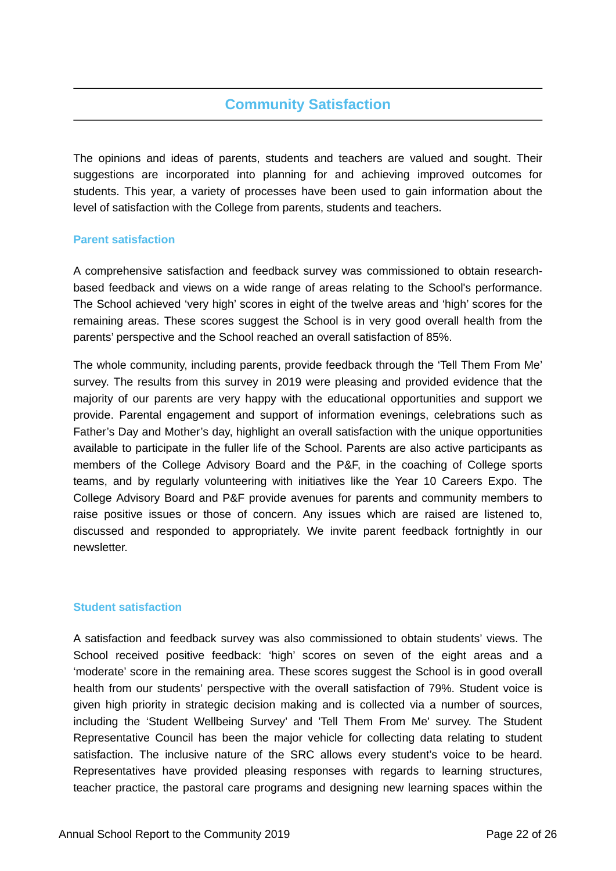# **Community Satisfaction**

The opinions and ideas of parents, students and teachers are valued and sought. Their suggestions are incorporated into planning for and achieving improved outcomes for students. This year, a variety of processes have been used to gain information about the level of satisfaction with the College from parents, students and teachers.

### **Parent satisfaction**

A comprehensive satisfaction and feedback survey was commissioned to obtain researchbased feedback and views on a wide range of areas relating to the School's performance. The School achieved 'very high' scores in eight of the twelve areas and 'high' scores for the remaining areas. These scores suggest the School is in very good overall health from the parents' perspective and the School reached an overall satisfaction of 85%.

The whole community, including parents, provide feedback through the 'Tell Them From Me' survey. The results from this survey in 2019 were pleasing and provided evidence that the majority of our parents are very happy with the educational opportunities and support we provide. Parental engagement and support of information evenings, celebrations such as Father's Day and Mother's day, highlight an overall satisfaction with the unique opportunities available to participate in the fuller life of the School. Parents are also active participants as members of the College Advisory Board and the P&F, in the coaching of College sports teams, and by regularly volunteering with initiatives like the Year 10 Careers Expo. The College Advisory Board and P&F provide avenues for parents and community members to raise positive issues or those of concern. Any issues which are raised are listened to, discussed and responded to appropriately. We invite parent feedback fortnightly in our newsletter.

### **Student satisfaction**

A satisfaction and feedback survey was also commissioned to obtain students' views. The School received positive feedback: 'high' scores on seven of the eight areas and a 'moderate' score in the remaining area. These scores suggest the School is in good overall health from our students' perspective with the overall satisfaction of 79%. Student voice is given high priority in strategic decision making and is collected via a number of sources, including the 'Student Wellbeing Survey' and 'Tell Them From Me' survey. The Student Representative Council has been the major vehicle for collecting data relating to student satisfaction. The inclusive nature of the SRC allows every student's voice to be heard. Representatives have provided pleasing responses with regards to learning structures, teacher practice, the pastoral care programs and designing new learning spaces within the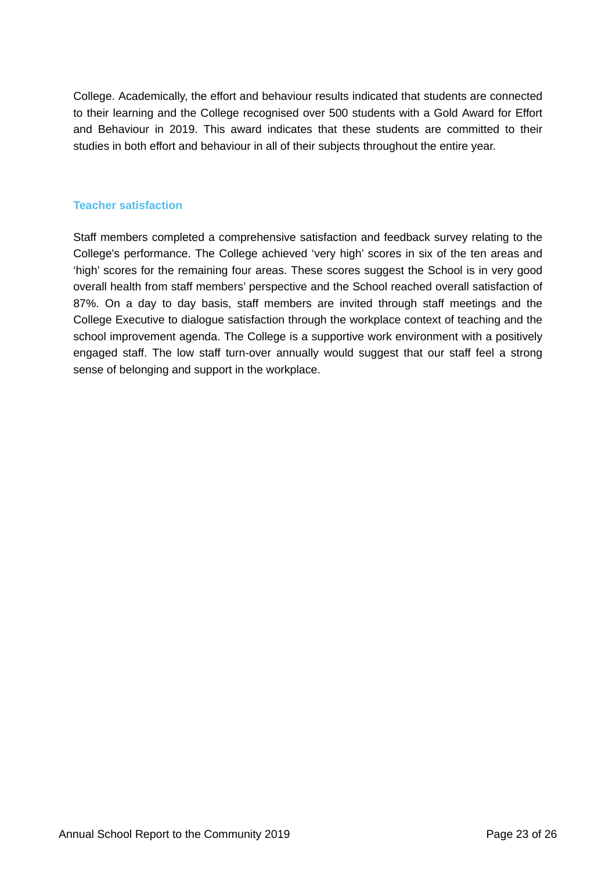College. Academically, the effort and behaviour results indicated that students are connected to their learning and the College recognised over 500 students with a Gold Award for Effort and Behaviour in 2019. This award indicates that these students are committed to their studies in both effort and behaviour in all of their subjects throughout the entire year.

### **Teacher satisfaction**

Staff members completed a comprehensive satisfaction and feedback survey relating to the College's performance. The College achieved 'very high' scores in six of the ten areas and 'high' scores for the remaining four areas. These scores suggest the School is in very good overall health from staff members' perspective and the School reached overall satisfaction of 87%. On a day to day basis, staff members are invited through staff meetings and the College Executive to dialogue satisfaction through the workplace context of teaching and the school improvement agenda. The College is a supportive work environment with a positively engaged staff. The low staff turn-over annually would suggest that our staff feel a strong sense of belonging and support in the workplace.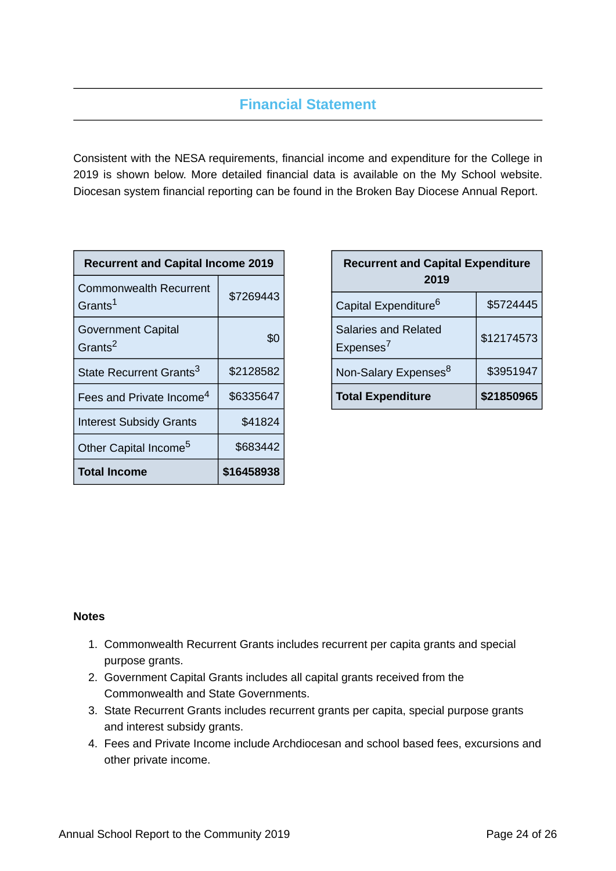# **Financial Statement**

Consistent with the NESA requirements, financial income and expenditure for the College in 2019 is shown below. More detailed financial data is available on the My School website. Diocesan system financial reporting can be found in the Broken Bay Diocese Annual Report.

| <b>Recurrent and Capital Income 2019</b>             |            |  |  |  |
|------------------------------------------------------|------------|--|--|--|
| <b>Commonwealth Recurrent</b><br>Grants <sup>1</sup> | \$7269443  |  |  |  |
| <b>Government Capital</b><br>Grants <sup>2</sup>     | \$0        |  |  |  |
| State Recurrent Grants <sup>3</sup>                  | \$2128582  |  |  |  |
| Fees and Private Income <sup>4</sup>                 | \$6335647  |  |  |  |
| <b>Interest Subsidy Grants</b>                       | \$41824    |  |  |  |
| Other Capital Income <sup>5</sup>                    | \$683442   |  |  |  |
| <b>Total Income</b>                                  | \$16458938 |  |  |  |

| <b>Recurrent and Capital Expenditure</b><br>2019     |            |  |
|------------------------------------------------------|------------|--|
| Capital Expenditure <sup>6</sup>                     | \$5724445  |  |
| <b>Salaries and Related</b><br>Expenses <sup>7</sup> | \$12174573 |  |
| Non-Salary Expenses <sup>8</sup>                     | \$3951947  |  |
| <b>Total Expenditure</b>                             | \$21850965 |  |

# **Notes**

- 1. Commonwealth Recurrent Grants includes recurrent per capita grants and special purpose grants.
- 2. Government Capital Grants includes all capital grants received from the Commonwealth and State Governments.
- 3. State Recurrent Grants includes recurrent grants per capita, special purpose grants and interest subsidy grants.
- 4. Fees and Private Income include Archdiocesan and school based fees, excursions and other private income.